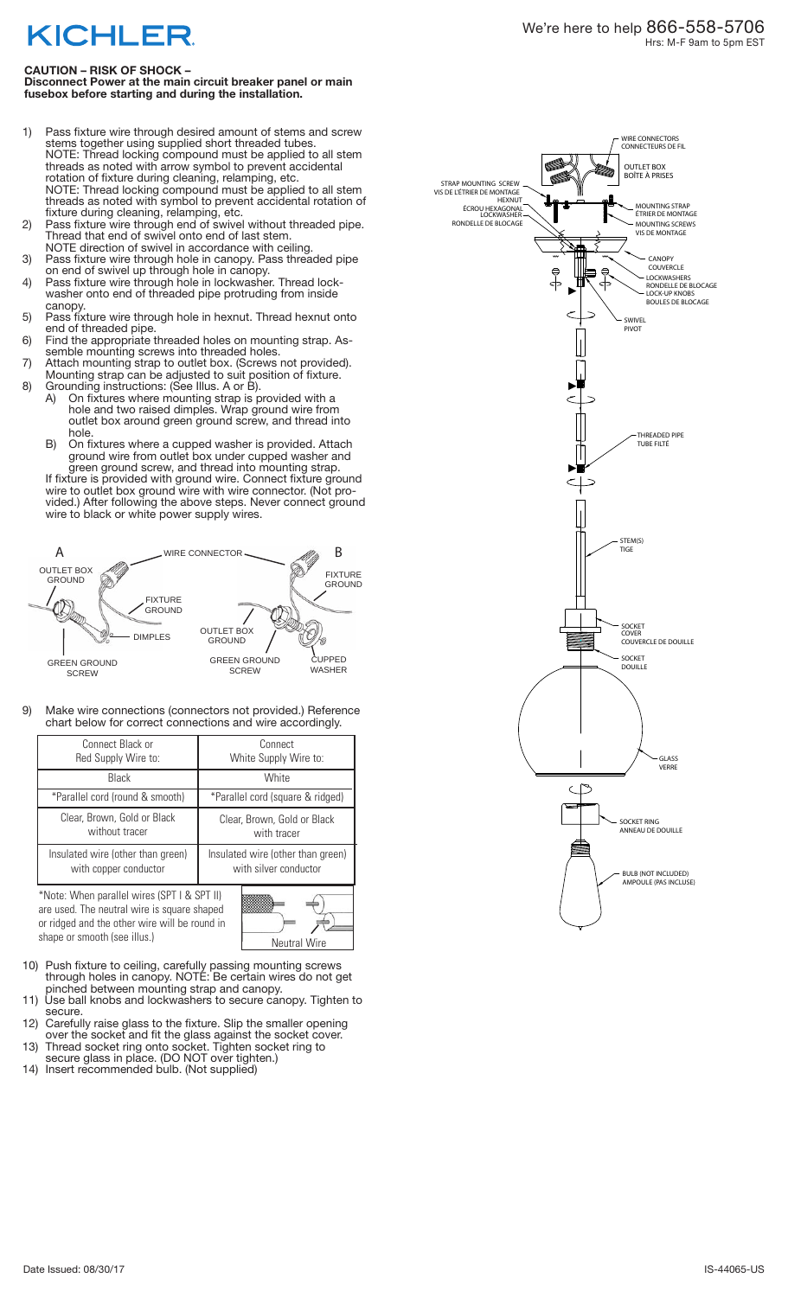## **KICHLER**

## **CAUTION – RISK OF SHOCK –**

**Disconnect Power at the main circuit breaker panel or main fusebox before starting and during the installation.** 

- 1) Pass fixture wire through desired amount of stems and screw stems together using supplied short threaded tubes. NOTE: Thread locking compound must be applied to all stem threads as noted with arrow symbol to prevent accidental rotation of fixture during cleaning, relamping, etc. NOTE: Thread locking compound must be applied to all stem threads as noted with symbol to prevent accidental rotation of fixture during cleaning, relamping, etc.
- 2) Pass fixture wire through end of swivel without threaded pipe. Thread that end of swivel onto end of last stem. NOTE direction of swivel in accordance with ceiling.
- 3) Pass fixture wire through hole in canopy. Pass threaded pipe on end of swivel up through hole in canopy.
- 4) Pass fixture wire through hole in lockwasher. Thread lock- washer onto end of threaded pipe protruding from inside canopy.
- 5) Pass fixture wire through hole in hexnut. Thread hexnut onto end of threaded pipe.
- 6) Find the appropriate threaded holes on mounting strap. As- semble mounting screws into threaded holes.
- 7) Attach mounting strap to outlet box. (Screws not provided). Mounting strap can be adjusted to suit position of fixture.
- 8) Grounding instructions: (See Illus. A or B).
	- A) On fixtures where mounting strap is provided with a hole and two raised dimples. Wrap ground wire from outlet box around green ground screw, and thread into outlet box around green ground screw, and thread into<br>hole.
	- B) On fixtures where a cupped washer is provided. Attach ground wire from outlet box under cupped washer and green ground screw, and thread into mounting strap.

If fixture is provided with ground wire. Connect fixture ground wire to outlet box ground wire with wire connector. (Not pro-<br>vided.) After following the above steps. Never connect ground wire to black or white power supply wires.



9) Make wire connections (connectors not provided.) Reference chart below for correct connections and wire accordingly.

| Connect Black or<br>Red Supply Wire to:                    | Connect<br>White Supply Wire to:                           |
|------------------------------------------------------------|------------------------------------------------------------|
| Black                                                      | White                                                      |
| *Parallel cord (round & smooth)                            | *Parallel cord (square & ridged)                           |
| Clear, Brown, Gold or Black<br>without tracer              | Clear, Brown, Gold or Black<br>with tracer                 |
| Insulated wire (other than green)<br>with copper conductor | Insulated wire (other than green)<br>with silver conductor |
| *Note: When narallel wires (SPT I & SPT II)                |                                                            |

\*Note: When parallel wires (SPT I & SPT II) are used. The neutral wire is square shaped or ridged and the other wire will be round in shape or smooth (see illus.) Neutral Wire



- 10) Push fixture to ceiling, carefully passing mounting screws through holes in canopy. NOTE: Be certain wires do not get pinched between mounting strap and canopy.
- princined between modifiedly strap and campy.<br>
11) Use ball knobs and lockwashers to secure canopy. Tighten to secure.
- 12) Carefully raise glass to the fixture. Slip the smaller opening over the socket and fit the glass against the socket cover.
- 13) Thread socket ring onto socket. Tighten socket ring to secure glass in place. (DO NOT over tighten.)
- 14) Insert recommended bulb. (Not supplied)